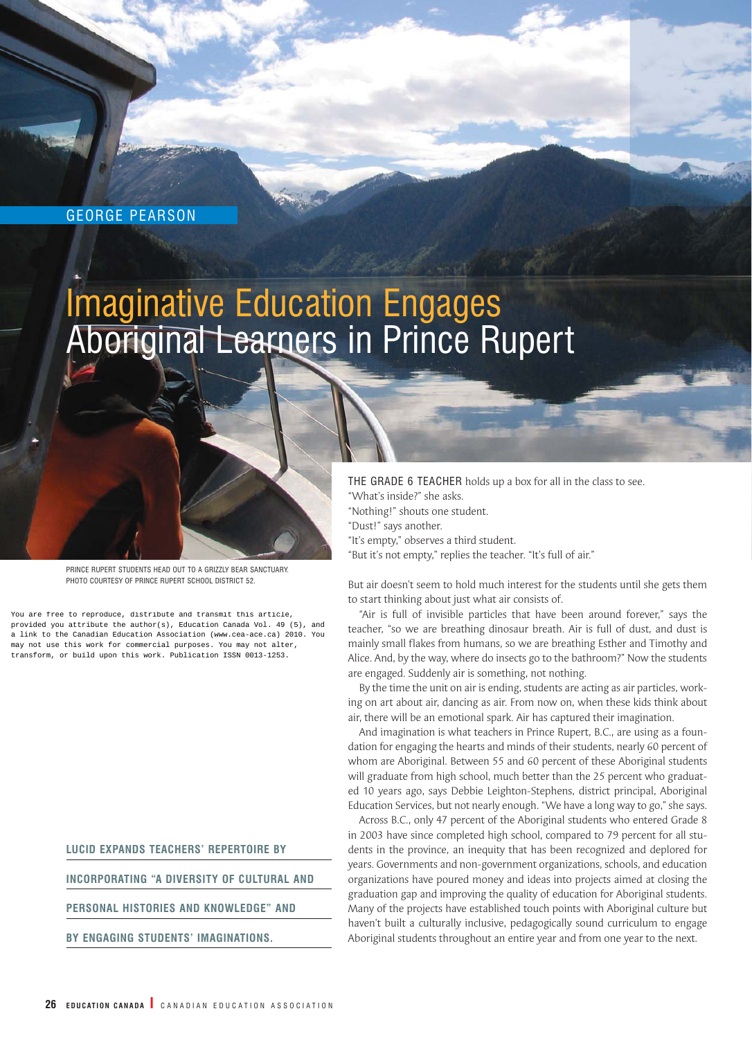### GEORGE PEARSON

# Imaginative Education Engages Aboriginal Learners in Prince Rupert

PRINCE RUPERT STUDENTS HEAD OUT TO A GRIZZLY BEAR SANCTUARY. PHOTO COURTESY OF PRINCE RUPERT SCHOOL DISTRICT 52.

You are free to reproduce, distribute and transmit this article, provided you attribute the author(s), Education Canada Vol. 49 (5), and a link to the Canadian Education Association (www.cea-ace.ca) 2010. You may not use this work for commercial purposes. You may not alter, transform, or build upon this work. Publication ISSN 0013-1253.

**LUCID EXPANDS TEACHERS' REPERTOIRE BY** 

**INCORPORATING "A DIVERSITY OF CULTURAL AND**

**PERSONAL HISTORIES AND KNOWLEDGE" AND** 

**BY ENGAGING STUDENTS' IMAGINATIONS.**

THE GRADE 6 TEACHER holds up a box for all in the class to see.

- "What's inside?" she asks.
- "Nothing!" shouts one student.
- "Dust!" says another.
- "It's empty," observes a third student.
- "But it's not empty," replies the teacher. "It's full of air."

But air doesn't seem to hold much interest for the students until she gets them to start thinking about just what air consists of.

"Air is full of invisible particles that have been around forever," says the teacher, "so we are breathing dinosaur breath. Air is full of dust, and dust is mainly small flakes from humans, so we are breathing Esther and Timothy and Alice. And, by the way, where do insects go to the bathroom?" Now the students are engaged. Suddenly air is something, not nothing.

By the time the unit on air is ending, students are acting as air particles, working on art about air, dancing as air. From now on, when these kids think about air, there will be an emotional spark. Air has captured their imagination.

And imagination is what teachers in Prince Rupert, B.C., are using as a foundation for engaging the hearts and minds of their students, nearly 60 percent of whom are Aboriginal. Between 55 and 60 percent of these Aboriginal students will graduate from high school, much better than the 25 percent who graduated 10 years ago, says Debbie Leighton-Stephens, district principal, Aboriginal Education Services, but not nearly enough. "We have a long way to go," she says.

Across B.C., only 47 percent of the Aboriginal students who entered Grade 8 in 2003 have since completed high school, compared to 79 percent for all students in the province, an inequity that has been recognized and deplored for years. Governments and non-government organizations, schools, and education organizations have poured money and ideas into projects aimed at closing the graduation gap and improving the quality of education for Aboriginal students. Many of the projects have established touch points with Aboriginal culture but haven't built a culturally inclusive, pedagogically sound curriculum to engage Aboriginal students throughout an entire year and from one year to the next.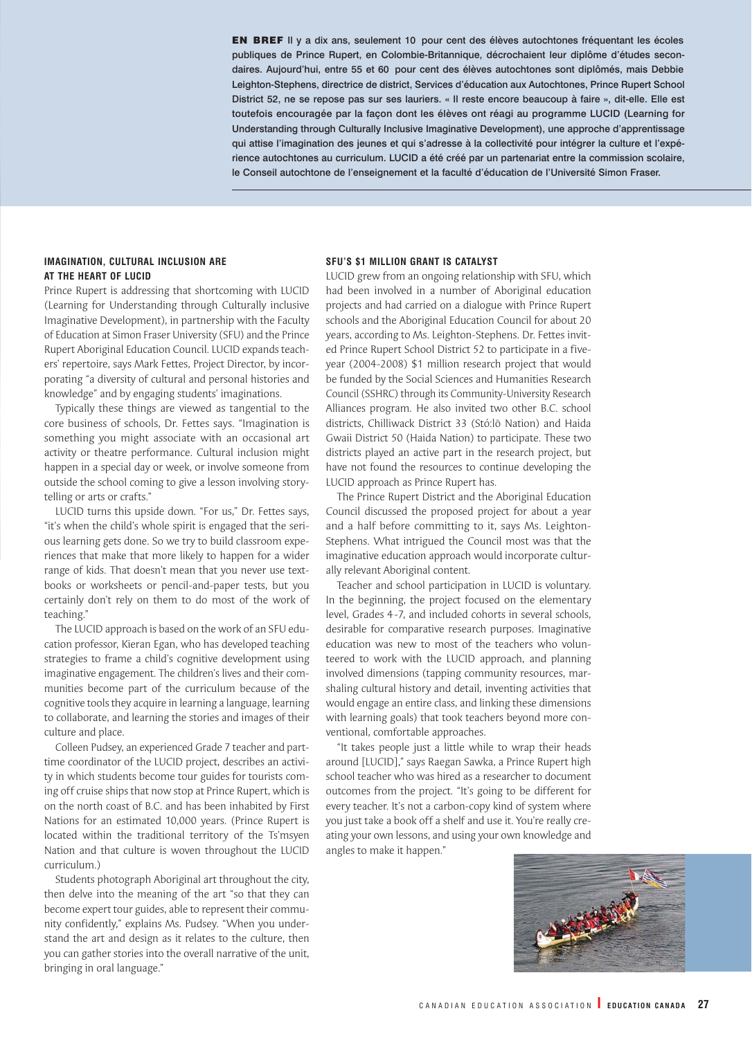EN BREF Il y a dix ans, seulement 10 pour cent des élèves autochtones fréquentant les écoles publiques de Prince Rupert, en Colombie-Britannique, décrochaient leur diplôme d'études secondaires. Aujourd'hui, entre 55 et 60 pour cent des élèves autochtones sont diplômés, mais Debbie Leighton-Stephens, directrice de district, Services d'éducation aux Autochtones, Prince Rupert School District 52, ne se repose pas sur ses lauriers. « Il reste encore beaucoup à faire », dit-elle. Elle est toutefois encouragée par la façon dont les élèves ont réagi au programme LUCID (Learning for Understanding through Culturally Inclusive Imaginative Development), une approche d'apprentissage qui attise l'imagination des jeunes et qui s'adresse à la collectivité pour intégrer la culture et l'expérience autochtones au curriculum. LUCID a été créé par un partenariat entre la commission scolaire, le Conseil autochtone de l'enseignement et la faculté d'éducation de l'Université Simon Fraser.

#### **IMAGINATION, CULTURAL INCLUSION ARE AT THE HEART OF LUCID**

Prince Rupert is addressing that shortcoming with LUCID (Learning for Understanding through Culturally inclusive Imaginative Development), in partnership with the Faculty of Education at Simon Fraser University (SFU) and the Prince Rupert Aboriginal Education Council. LUCID expands teachers' repertoire, says Mark Fettes, Project Director, by incorporating "a diversity of cultural and personal histories and knowledge" and by engaging students' imaginations.

Typically these things are viewed as tangential to the core business of schools, Dr. Fettes says. "Imagination is something you might associate with an occasional art activity or theatre performance. Cultural inclusion might happen in a special day or week, or involve someone from outside the school coming to give a lesson involving storytelling or arts or crafts."

LUCID turns this upside down. "For us," Dr. Fettes says, "it's when the child's whole spirit is engaged that the serious learning gets done. So we try to build classroom experiences that make that more likely to happen for a wider range of kids. That doesn't mean that you never use textbooks or worksheets or pencil-and-paper tests, but you certainly don't rely on them to do most of the work of teaching."

The LUCID approach is based on the work of an SFU education professor, Kieran Egan, who has developed teaching strategies to frame a child's cognitive development using imaginative engagement. The children's lives and their communities become part of the curriculum because of the cognitive tools they acquire in learning a language, learning to collaborate, and learning the stories and images of their culture and place.

Colleen Pudsey, an experienced Grade 7 teacher and parttime coordinator of the LUCID project, describes an activity in which students become tour guides for tourists coming off cruise ships that now stop at Prince Rupert, which is on the north coast of B.C. and has been inhabited by First Nations for an estimated 10,000 years. (Prince Rupert is located within the traditional territory of the Ts'msyen Nation and that culture is woven throughout the LUCID curriculum.)

Students photograph Aboriginal art throughout the city, then delve into the meaning of the art "so that they can become expert tour guides, able to represent their community confidently," explains Ms. Pudsey. "When you understand the art and design as it relates to the culture, then you can gather stories into the overall narrative of the unit, bringing in oral language."

#### **SFU'S \$1 MILLION GRANT IS CATALYST**

LUCID grew from an ongoing relationship with SFU, which had been involved in a number of Aboriginal education projects and had carried on a dialogue with Prince Rupert schools and the Aboriginal Education Council for about 20 years, according to Ms. Leighton-Stephens. Dr. Fettes invited Prince Rupert School District 52 to participate in a fiveyear (2004-2008) \$1 million research project that would be funded by the Social Sciences and Humanities Research Council (SSHRC) through its Community-University Research Alliances program. He also invited two other B.C. school districts, Chilliwack District 33 (Stó:lō Nation) and Haida Gwaii District 50 (Haida Nation) to participate. These two districts played an active part in the research project, but have not found the resources to continue developing the LUCID approach as Prince Rupert has.

The Prince Rupert District and the Aboriginal Education Council discussed the proposed project for about a year and a half before committing to it, says Ms. Leighton-Stephens. What intrigued the Council most was that the imaginative education approach would incorporate culturally relevant Aboriginal content.

Teacher and school participation in LUCID is voluntary. In the beginning, the project focused on the elementary level, Grades 4-7, and included cohorts in several schools, desirable for comparative research purposes. Imaginative education was new to most of the teachers who volunteered to work with the LUCID approach, and planning involved dimensions (tapping community resources, marshaling cultural history and detail, inventing activities that would engage an entire class, and linking these dimensions with learning goals) that took teachers beyond more conventional, comfortable approaches.

"It takes people just a little while to wrap their heads around [LUCID]," says Raegan Sawka, a Prince Rupert high school teacher who was hired as a researcher to document outcomes from the project. "It's going to be different for every teacher. It's not a carbon-copy kind of system where you just take a book off a shelf and use it. You're really creating your own lessons, and using your own knowledge and angles to make it happen."

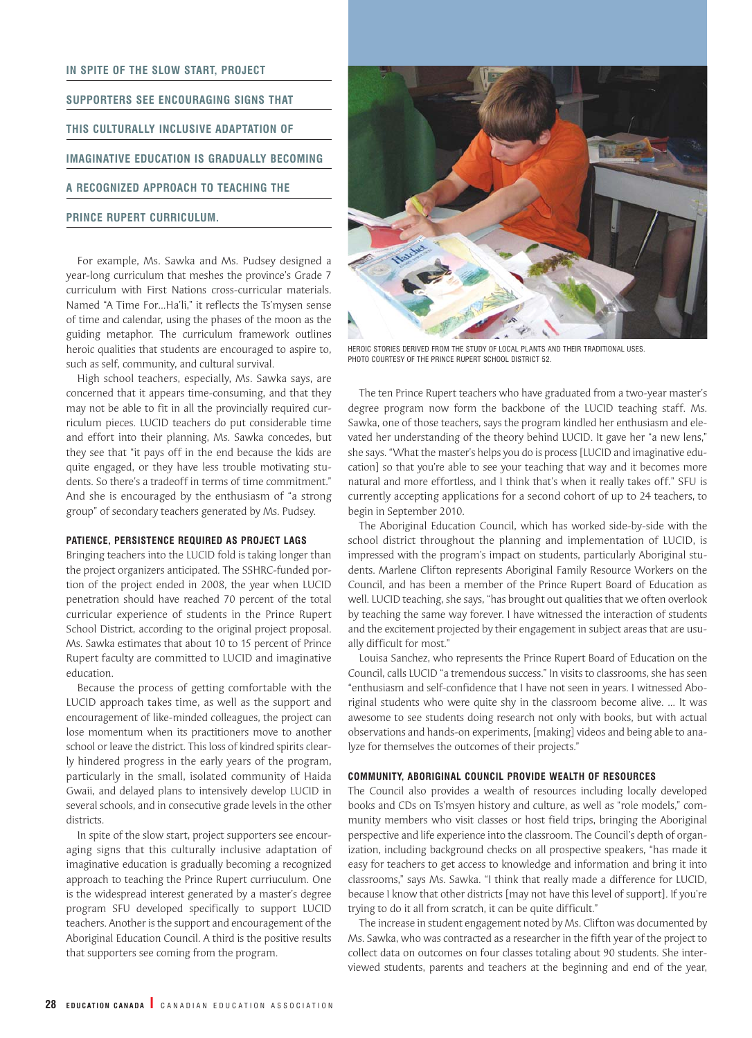## **IN SPITE OF THE SLOW START, PROJECT SUPPORTERS SEE ENCOURAGING SIGNS THAT THIS CULTURALLY INCLUSIVE ADAPTATION OF IMAGINATIVE EDUCATION IS GRADUALLY BECOMING A RECOGNIZED APPROACH TO TEACHING THE PRINCE RUPERT CURRICULUM.**

For example, Ms. Sawka and Ms. Pudsey designed a year-long curriculum that meshes the province's Grade 7 curriculum with First Nations cross-curricular materials. Named "A Time For…Ha'li," it reflects the Ts'mysen sense of time and calendar, using the phases of the moon as the guiding metaphor. The curriculum framework outlines heroic qualities that students are encouraged to aspire to, such as self, community, and cultural survival.

High school teachers, especially, Ms. Sawka says, are concerned that it appears time-consuming, and that they may not be able to fit in all the provincially required curriculum pieces. LUCID teachers do put considerable time and effort into their planning, Ms. Sawka concedes, but they see that "it pays off in the end because the kids are quite engaged, or they have less trouble motivating students. So there's a tradeoff in terms of time commitment." And she is encouraged by the enthusiasm of "a strong group" of secondary teachers generated by Ms. Pudsey.

#### **PATIENCE, PERSISTENCE REQUIRED AS PROJECT LAGS**

Bringing teachers into the LUCID fold is taking longer than the project organizers anticipated. The SSHRC-funded portion of the project ended in 2008, the year when LUCID penetration should have reached 70 percent of the total curricular experience of students in the Prince Rupert School District, according to the original project proposal. Ms. Sawka estimates that about 10 to 15 percent of Prince Rupert faculty are committed to LUCID and imaginative education.

Because the process of getting comfortable with the LUCID approach takes time, as well as the support and encouragement of like-minded colleagues, the project can lose momentum when its practitioners move to another school or leave the district. This loss of kindred spirits clearly hindered progress in the early years of the program, particularly in the small, isolated community of Haida Gwaii, and delayed plans to intensively develop LUCID in several schools, and in consecutive grade levels in the other districts.

In spite of the slow start, project supporters see encouraging signs that this culturally inclusive adaptation of imaginative education is gradually becoming a recognized approach to teaching the Prince Rupert curriuculum. One is the widespread interest generated by a master's degree program SFU developed specifically to support LUCID teachers. Another is the support and encouragement of the Aboriginal Education Council. A third is the positive results that supporters see coming from the program.



HEROIC STORIES DERIVED FROM THE STUDY OF LOCAL PLANTS AND THEIR TRADITIONAL USES. PHOTO COURTESY OF THE PRINCE RUPERT SCHOOL DISTRICT 52.

The ten Prince Rupert teachers who have graduated from a two-year master's degree program now form the backbone of the LUCID teaching staff. Ms. Sawka, one of those teachers, says the program kindled her enthusiasm and elevated her understanding of the theory behind LUCID. It gave her "a new lens," she says. "What the master's helps you do is process [LUCID and imaginative education] so that you're able to see your teaching that way and it becomes more natural and more effortless, and I think that's when it really takes off." SFU is currently accepting applications for a second cohort of up to 24 teachers, to begin in September 2010.

The Aboriginal Education Council, which has worked side-by-side with the school district throughout the planning and implementation of LUCID, is impressed with the program's impact on students, particularly Aboriginal students. Marlene Clifton represents Aboriginal Family Resource Workers on the Council, and has been a member of the Prince Rupert Board of Education as well. LUCID teaching, she says, "has brought out qualities that we often overlook by teaching the same way forever. I have witnessed the interaction of students and the excitement projected by their engagement in subject areas that are usually difficult for most."

Louisa Sanchez, who represents the Prince Rupert Board of Education on the Council, calls LUCID "a tremendous success." In visits to classrooms, she has seen "enthusiasm and self-confidence that I have not seen in years. I witnessed Aboriginal students who were quite shy in the classroom become alive. … It was awesome to see students doing research not only with books, but with actual observations and hands-on experiments, [making] videos and being able to analyze for themselves the outcomes of their projects."

#### **COMMUNITY, ABORIGINAL COUNCIL PROVIDE WEALTH OF RESOURCES**

The Council also provides a wealth of resources including locally developed books and CDs on Ts'msyen history and culture, as well as "role models," community members who visit classes or host field trips, bringing the Aboriginal perspective and life experience into the classroom. The Council's depth of organization, including background checks on all prospective speakers, "has made it easy for teachers to get access to knowledge and information and bring it into classrooms," says Ms. Sawka. "I think that really made a difference for LUCID, because I know that other districts [may not have this level of support]. If you're trying to do it all from scratch, it can be quite difficult."

The increase in student engagement noted by Ms. Clifton was documented by Ms. Sawka, who was contracted as a researcher in the fifth year of the project to collect data on outcomes on four classes totaling about 90 students. She interviewed students, parents and teachers at the beginning and end of the year,